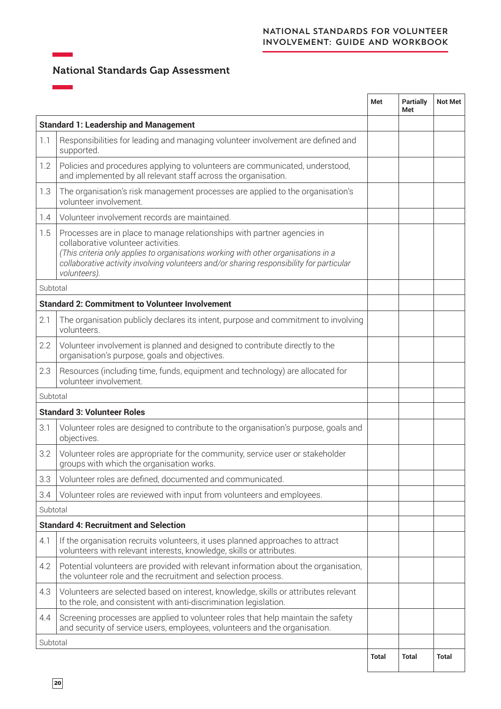## NATIONAL STANDARDS FOR VOLUNTEER INVOLVEMENT: GUIDE AND WORKBOOK

## National Standards Gap Assessment

|                                    |                                                                                                                                                                                                                                                                                                                  | Met   | <b>Partially</b><br>Met | <b>Not Met</b> |
|------------------------------------|------------------------------------------------------------------------------------------------------------------------------------------------------------------------------------------------------------------------------------------------------------------------------------------------------------------|-------|-------------------------|----------------|
|                                    | <b>Standard 1: Leadership and Management</b>                                                                                                                                                                                                                                                                     |       |                         |                |
| 1.1                                | Responsibilities for leading and managing volunteer involvement are defined and<br>supported.                                                                                                                                                                                                                    |       |                         |                |
| 1.2                                | Policies and procedures applying to volunteers are communicated, understood,<br>and implemented by all relevant staff across the organisation.                                                                                                                                                                   |       |                         |                |
| 1.3                                | The organisation's risk management processes are applied to the organisation's<br>volunteer involvement.                                                                                                                                                                                                         |       |                         |                |
| 1.4                                | Volunteer involvement records are maintained.                                                                                                                                                                                                                                                                    |       |                         |                |
| 1.5                                | Processes are in place to manage relationships with partner agencies in<br>collaborative volunteer activities.<br>(This criteria only applies to organisations working with other organisations in a<br>collaborative activity involving volunteers and/or sharing responsibility for particular<br>volunteers). |       |                         |                |
| Subtotal                           |                                                                                                                                                                                                                                                                                                                  |       |                         |                |
|                                    | <b>Standard 2: Commitment to Volunteer Involvement</b>                                                                                                                                                                                                                                                           |       |                         |                |
| 2.1                                | The organisation publicly declares its intent, purpose and commitment to involving<br>volunteers.                                                                                                                                                                                                                |       |                         |                |
| 2.2                                | Volunteer involvement is planned and designed to contribute directly to the<br>organisation's purpose, goals and objectives.                                                                                                                                                                                     |       |                         |                |
| 2.3                                | Resources (including time, funds, equipment and technology) are allocated for<br>volunteer involvement.                                                                                                                                                                                                          |       |                         |                |
| Subtotal                           |                                                                                                                                                                                                                                                                                                                  |       |                         |                |
| <b>Standard 3: Volunteer Roles</b> |                                                                                                                                                                                                                                                                                                                  |       |                         |                |
| 3.1                                | Volunteer roles are designed to contribute to the organisation's purpose, goals and<br>objectives.                                                                                                                                                                                                               |       |                         |                |
| 3.2                                | Volunteer roles are appropriate for the community, service user or stakeholder<br>groups with which the organisation works.                                                                                                                                                                                      |       |                         |                |
| 3.3                                | Volunteer roles are defined, documented and communicated.                                                                                                                                                                                                                                                        |       |                         |                |
| 3.4                                | Volunteer roles are reviewed with input from volunteers and employees.                                                                                                                                                                                                                                           |       |                         |                |
| Subtotal                           |                                                                                                                                                                                                                                                                                                                  |       |                         |                |
|                                    | <b>Standard 4: Recruitment and Selection</b>                                                                                                                                                                                                                                                                     |       |                         |                |
| 4.1                                | If the organisation recruits volunteers, it uses planned approaches to attract<br>volunteers with relevant interests, knowledge, skills or attributes.                                                                                                                                                           |       |                         |                |
| 4.2                                | Potential volunteers are provided with relevant information about the organisation,<br>the volunteer role and the recruitment and selection process.                                                                                                                                                             |       |                         |                |
| 4.3                                | Volunteers are selected based on interest, knowledge, skills or attributes relevant<br>to the role, and consistent with anti-discrimination legislation.                                                                                                                                                         |       |                         |                |
| 4.4                                | Screening processes are applied to volunteer roles that help maintain the safety<br>and security of service users, employees, volunteers and the organisation.                                                                                                                                                   |       |                         |                |
| Subtotal                           |                                                                                                                                                                                                                                                                                                                  |       |                         |                |
|                                    |                                                                                                                                                                                                                                                                                                                  | Total | Total                   | <b>Total</b>   |